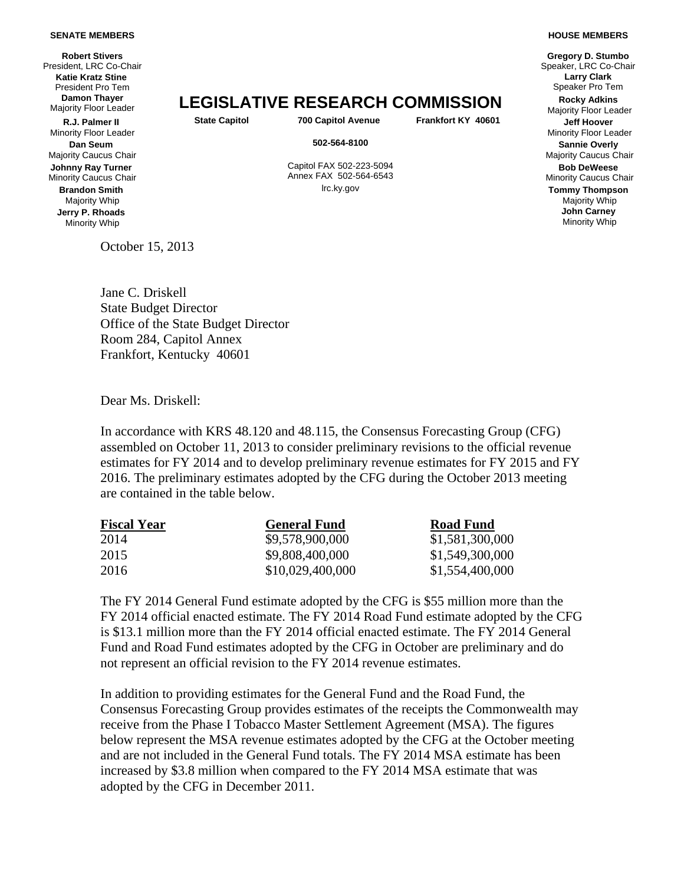## **SENATE MEMBERS**

**Robert Stivers**  President, LRC Co-Chair **Katie Kratz Stine** President Pro Tem **Damon Thayer** 

**R.J. Palmer II** Minority Floor Leader **Dan Seum** Majority Caucus Chair **Johnny Ray Turner** Minority Caucus Chair **Brandon Smith** Majority Whip **Jerry P. Rhoads** Minority Whip

Majority Floor Leader **LEGISLATIVE RESEARCH COMMISSION Rocky Adkins**

**State Capitol 700 Capitol Avenue Frankfort KY 40601 Jeff Hoover**

**502-564-8100 Sannie Overly**

 Capitol FAX 502-223-5094 Annex FAX 502-564-6543 lrc.ky.gov **Tommy Thompson**

**Gregory D. Stumbo Larry Clark**  Speaker Pro Tem

Majority Floor Leader

Minority Floor Leader

Majority Caucus Chair

**Bob DeWeese** Minority Caucus Chair

Majority Whip **John Carney** Minority Whip

Jane C. Driskell State Budget Director Office of the State Budget Director Room 284, Capitol Annex Frankfort, Kentucky 40601

Dear Ms. Driskell:

October 15, 2013

In accordance with KRS 48.120 and 48.115, the Consensus Forecasting Group (CFG) assembled on October 11, 2013 to consider preliminary revisions to the official revenue estimates for FY 2014 and to develop preliminary revenue estimates for FY 2015 and FY 2016. The preliminary estimates adopted by the CFG during the October 2013 meeting are contained in the table below.

| <b>Fiscal Year</b> | <b>General Fund</b> | <b>Road Fund</b> |
|--------------------|---------------------|------------------|
| 2014               | \$9,578,900,000     | \$1,581,300,000  |
| 2015               | \$9,808,400,000     | \$1,549,300,000  |
| 2016               | \$10,029,400,000    | \$1,554,400,000  |

The FY 2014 General Fund estimate adopted by the CFG is \$55 million more than the FY 2014 official enacted estimate. The FY 2014 Road Fund estimate adopted by the CFG is \$13.1 million more than the FY 2014 official enacted estimate. The FY 2014 General Fund and Road Fund estimates adopted by the CFG in October are preliminary and do not represent an official revision to the FY 2014 revenue estimates.

In addition to providing estimates for the General Fund and the Road Fund, the Consensus Forecasting Group provides estimates of the receipts the Commonwealth may receive from the Phase I Tobacco Master Settlement Agreement (MSA). The figures below represent the MSA revenue estimates adopted by the CFG at the October meeting and are not included in the General Fund totals. The FY 2014 MSA estimate has been increased by \$3.8 million when compared to the FY 2014 MSA estimate that was adopted by the CFG in December 2011.

## **HOUSE MEMBERS**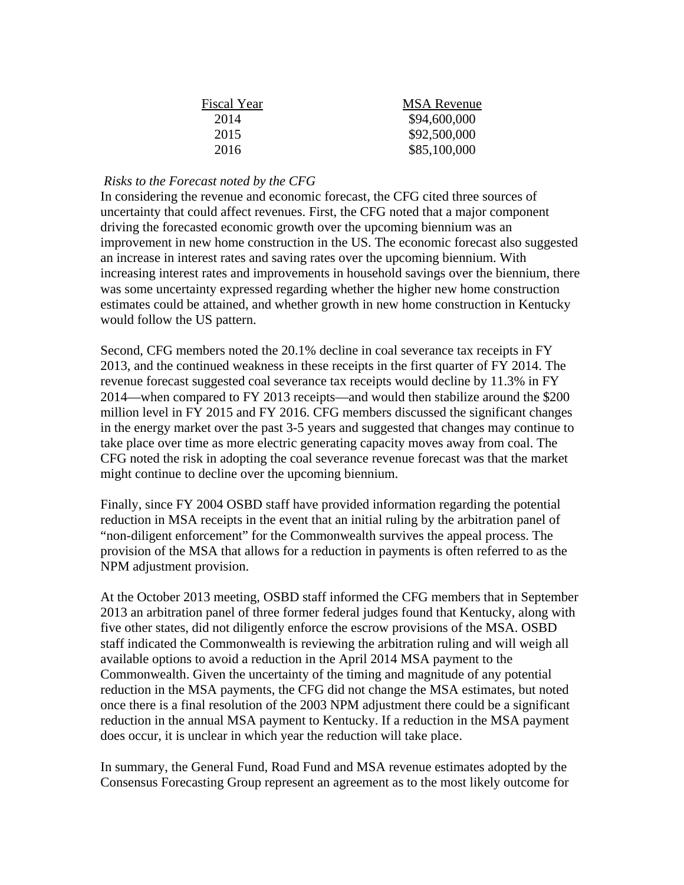| <b>MSA Revenue</b> |
|--------------------|
| \$94,600,000       |
| \$92,500,000       |
| \$85,100,000       |
|                    |

## *Risks to the Forecast noted by the CFG*

In considering the revenue and economic forecast, the CFG cited three sources of uncertainty that could affect revenues. First, the CFG noted that a major component driving the forecasted economic growth over the upcoming biennium was an improvement in new home construction in the US. The economic forecast also suggested an increase in interest rates and saving rates over the upcoming biennium. With increasing interest rates and improvements in household savings over the biennium, there was some uncertainty expressed regarding whether the higher new home construction estimates could be attained, and whether growth in new home construction in Kentucky would follow the US pattern.

Second, CFG members noted the 20.1% decline in coal severance tax receipts in FY 2013, and the continued weakness in these receipts in the first quarter of FY 2014. The revenue forecast suggested coal severance tax receipts would decline by 11.3% in FY 2014—when compared to FY 2013 receipts—and would then stabilize around the \$200 million level in FY 2015 and FY 2016. CFG members discussed the significant changes in the energy market over the past 3-5 years and suggested that changes may continue to take place over time as more electric generating capacity moves away from coal. The CFG noted the risk in adopting the coal severance revenue forecast was that the market might continue to decline over the upcoming biennium.

Finally, since FY 2004 OSBD staff have provided information regarding the potential reduction in MSA receipts in the event that an initial ruling by the arbitration panel of "non-diligent enforcement" for the Commonwealth survives the appeal process. The provision of the MSA that allows for a reduction in payments is often referred to as the NPM adjustment provision.

At the October 2013 meeting, OSBD staff informed the CFG members that in September 2013 an arbitration panel of three former federal judges found that Kentucky, along with five other states, did not diligently enforce the escrow provisions of the MSA. OSBD staff indicated the Commonwealth is reviewing the arbitration ruling and will weigh all available options to avoid a reduction in the April 2014 MSA payment to the Commonwealth. Given the uncertainty of the timing and magnitude of any potential reduction in the MSA payments, the CFG did not change the MSA estimates, but noted once there is a final resolution of the 2003 NPM adjustment there could be a significant reduction in the annual MSA payment to Kentucky. If a reduction in the MSA payment does occur, it is unclear in which year the reduction will take place.

In summary, the General Fund, Road Fund and MSA revenue estimates adopted by the Consensus Forecasting Group represent an agreement as to the most likely outcome for